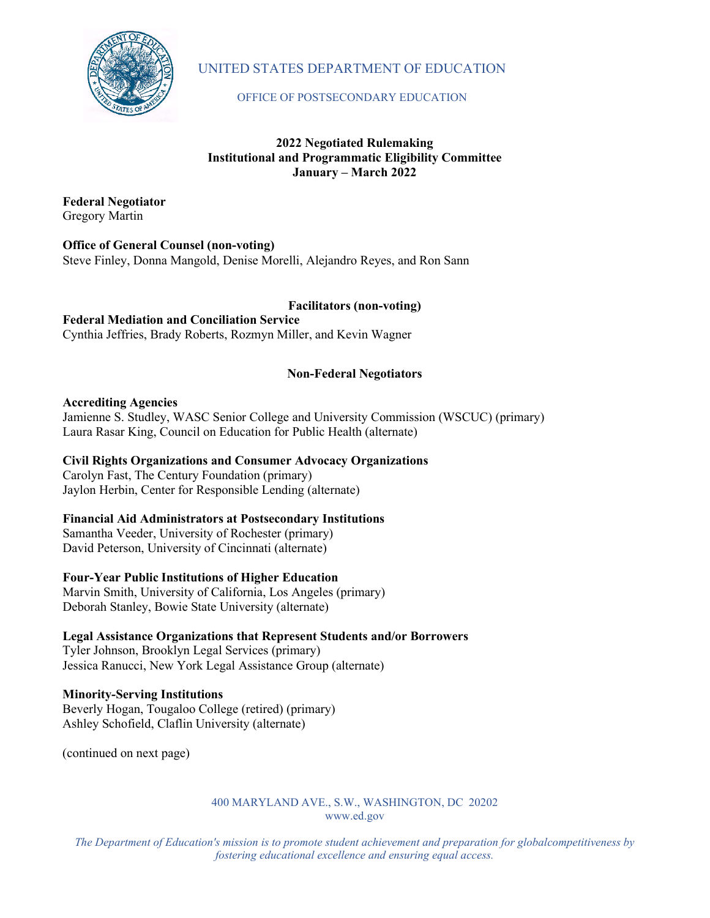

# UNITED STATES DEPARTMENT OF EDUCATION

### OFFICE OF POSTSECONDARY EDUCATION

# **2022 Negotiated Rulemaking Institutional and Programmatic Eligibility Committee January – March 2022**

**Federal Negotiator** Gregory Martin

# **Office of General Counsel (non-voting)**

Steve Finley, Donna Mangold, Denise Morelli, Alejandro Reyes, and Ron Sann

# **Facilitators (non-voting)**

**Federal Mediation and Conciliation Service** Cynthia Jeffries, Brady Roberts, Rozmyn Miller, and Kevin Wagner

# **Non-Federal Negotiators**

### **Accrediting Agencies**

Jamienne S. Studley, WASC Senior College and University Commission (WSCUC) (primary) Laura Rasar King, Council on Education for Public Health (alternate)

# **Civil Rights Organizations and Consumer Advocacy Organizations**

Carolyn Fast, The Century Foundation (primary) Jaylon Herbin, Center for Responsible Lending (alternate)

# **Financial Aid Administrators at Postsecondary Institutions**

Samantha Veeder, University of Rochester (primary) David Peterson, University of Cincinnati (alternate)

# **Four-Year Public Institutions of Higher Education**

Marvin Smith, University of California, Los Angeles (primary) Deborah Stanley, Bowie State University (alternate)

# **Legal Assistance Organizations that Represent Students and/or Borrowers**

Tyler Johnson, Brooklyn Legal Services (primary) Jessica Ranucci, New York Legal Assistance Group (alternate)

# **Minority-Serving Institutions**

Beverly Hogan, Tougaloo College (retired) (primary) Ashley Schofield, Claflin University (alternate)

(continued on next page)

#### 400 MARYLAND AVE., S.W., WASHINGTON, DC 20202 [www.ed.gov](http://www.ed.gov/)

*The Department of Education's mission is to promote student achievement and preparation for globalcompetitiveness by fostering educational excellence and ensuring equal access.*